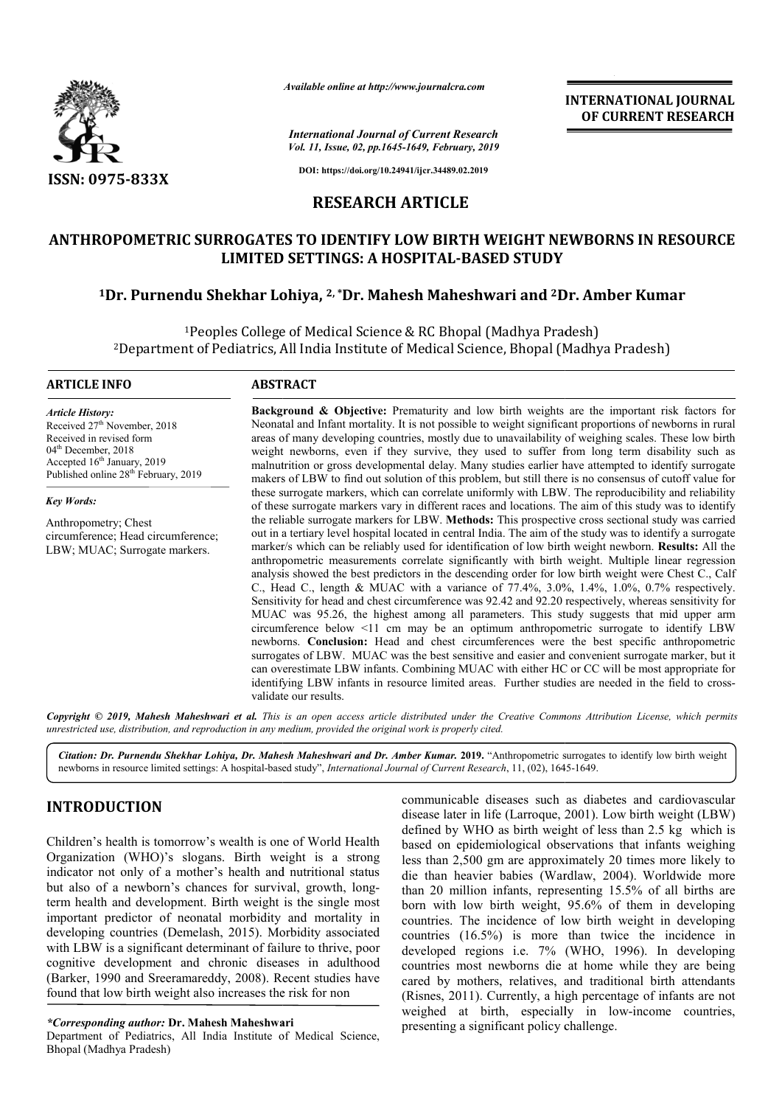

*Available online at http://www.journalcra.com*

*International Journal of Current Research Vol. 11, Issue, 02, pp.1645-1649, February, 2019* **INTERNATIONAL JOURNAL OF CURRENT RESEARCH**

**DOI: https://doi.org/10.24941/ijcr.34489.02.2019**

## **RESEARCH ARTICLE**

# ANTHROPOMETRIC SURROGATES TO IDENTIFY LOW BIRTH WEIGHT NEWBORNS IN RESOURCE<br>LIMITED SETTINGS: A HOSPITAL-BASED STUDY<br><sup>1</sup>Dr. Purnendu Shekhar Lohiya, <sup>2, \*</sup>Dr. Mahesh Maheshwari and <sup>2</sup>Dr. Amber Kumar **LIMITED SETTINGS: A HOSPITAL HOSPITAL-BASED STUDY**

# <sup>1</sup>Dr. Purnendu Shekhar Lohiya, <sup>2, \*</sup>Dr. Mahesh Maheshwari and <sup>2</sup>Dr. Amber Kumar

1Peoples College of Medical Science & RC Bhopal (Madhya Pradesh) <sup>1</sup>Peoples College of Medical Science & RC Bhopal (Madhya Pradesh)<br>Department of Pediatrics, All India Institute of Medical Science, Bhopal (Madhya Pradesh)?

#### **ARTICLE INFO ABSTRACT**

*Article History:* Received 27<sup>th</sup> November, 2018 Received in revised form 04<sup>th</sup> December, 2018 Accepted 16<sup>th</sup> January, 2019 Published online 28<sup>th</sup> February, 2019

*Key Words:*

Anthropometry; Chest circumference; Head circumference; LBW; MUAC; Surrogate markers.

**Background & Objective:** Prematurity and low birth weights are the important risk factors for Neonatal and Infant mortality. It is not possible to weight significant proportions of newborns in rural areas of many developing countries, mostly due to unavailability of weighing scales. These low birth weight newborns, even if they survive, they used to suffer from long term disability such as malnutrition or gross developmental delay. Many studies earlier have attempted to identify surrogate makers of LBW to find out solution of this problem, but still there is no consensus of cutoff value for these surrogate markers, which can correlate uniformly with LBW. The reproducibility and reliability of these surrogate markers vary in different races and locations. The aim of this study was t the reliable surrogate markers for LBW. **Methods:** This prospective cross sectional study was carried out in a tertiary level hospital located in central India. The aim of the study was to identify a surrogate out in a tertiary level hospital located in central India. The aim of the study was to identify a surrogate marker/s which can be reliably used for identification of low birth weight newborn. **Results:** All the anthropometric measurements correlate significantly with birth weight. Multiple linear regression anthropometric measurements correlate significantly with birth weight. Multiple linear regression analysis showed the best predictors in the descending order for low birth weight were Chest C., Calf C., Head C., length & MUAC with a variance of 77.4%, 3.0%, 1.4%, 1.0%, 0.7% respectively. Sensitivity for head and chest circumference was 92.42 and 92.20 respectively, whereas sensitivity for MUAC was 95.26, the highest among all parameters. This study suggests that mid upper arm circumference below <11 cm may be an optimum anthropometric surrogate to identify LBW newborns. **Conclusion:** Head and chest circumferences were the best specific anthropometric surrogates of LBW. MUAC was the best sensitive and easier and convenient surrogate marker, but it can overestimate LBW infants. Combining MUAC with either HC or CC will be most appropriate for identifying LBW infants in resource limited areas. Further studies are needed in the field to cross validate our results. **Background & Objective:** Prematurity and low birth weights are the important risk factors for Neonatal and Infant mortality. It is not possible to weight significant proportions of newborns in rural areas of many developi weight newborns, even if they survive, they used to suffer from long term disability such as<br>malnutrition or gross developmental delay. Many studies earlier have attempted to identify surrogate<br>makers of LBW to find out so C., Head C., length & MUAC with a variance of 77.4%, 3.0%, 1.4%, 1.0%, 0.7% respectively.<br>Sensitivity for head and chest circumference was 92.42 and 92.20 respectively, whereas sensitivity for<br>MUAC was 95.26, the highest a **INTERNATIONAL JOURNAL OF CURRENT RESEARCH CONDUCT (THE SET AND AND CONDUCT THE SET AND AND AND THE SET AND AND AND THAND THAND WE AND THAND THAND THAND THAND THAND THAND THAND THAND THAND THAND THAND THAND THAND THAND THA** 

**Copyright © 2019, Mahesh Maheshwari et al.** This is an open access article distributed under the Creative Commons Attribution License, which permits *unrestricted use, distribution, and reproduction in any medium, provided the original work is properly cited.*

Citation: Dr. Purnendu Shekhar Lohiya, Dr. Mahesh Maheshwari and Dr. Amber Kumar. 2019. "Anthropometric surrogates to identify low birth weight newborns in resource limited settings: A hospital-based study", *International* hewborns in resource limited settings: A hospital-based study", *International Journal of Current Research*, 11, (02), 1645

# **INTRODUCTION**

Children's health is tomorrow's wealth is one of World Health Organization (WHO)'s slogans. Birth weight is a strong indicator not only of a mother's health and nutritional status but also of a newborn's chances for survival, growth, long term health and development. Birth weight is the single most important predictor of neonatal morbidity and mortality in developing countries (Demelash, 2015). Morbidity associated with LBW is a significant determinant of failure to thrive, poor cognitive development and chronic diseases in adulthood cognitive development and chronic diseases in adulthood (Barker, 1990 and Sreeramareddy, 2008). Recent studies have found that low birth weight also increases the risk for non hildren's health is tomorrow's wealth is one of World Health<br>rganization (WHO)'s slogans. Birth weight is a strong<br>dicator not only of a mother's health and nutritional status<br>ut also of a newborn's chances for survival, g

*\*Corresponding author:* **Dr. Mahesh Maheshwari** 

Department of Pediatrics, All India Institute of Medical Science, Bhopal (Madhya Pradesh)

communicable diseases such as diabetes and cardiovascular disease later in life (Larroque, 2001). Low birth weight (LBW) defined by WHO as birth weight of less than 2.5 kg which is defined by WHO as birth weight of less than 2.5 kg which is based on epidemiological observations that infants weighing less than 2,500 gm are approximately 20 times more likely to less than 2,500 gm are approximately 20 times more likely to die than heavier babies (Wardlaw, 2004). Worldwide more than 20 million infants, representing 15.5% of all births are born with low birth weight, 95.6% of them in developing countries. The incidence of low birth weight in developing countries (16.5%) is more than twice the incidence in developed regions i.e. 7% (WHO, 1996). In developing countries most newborns die at home while they are being countries most newborns die at home while they are being cared by mothers, relatives, and traditional birth attendants (Risnes, 2011). Currently, a high percentage of infants are not (Risnes, 2011). Currently, a high percentage of infants are not weighed at birth, especially in low-income countries, presenting a significant policy challenge. than 20 million infants, representing 15.5% of all births are<br>born with low birth weight, 95.6% of them in developing<br>countries. The incidence of low birth weight in developing<br>countries (16.5%) is more than twice the inc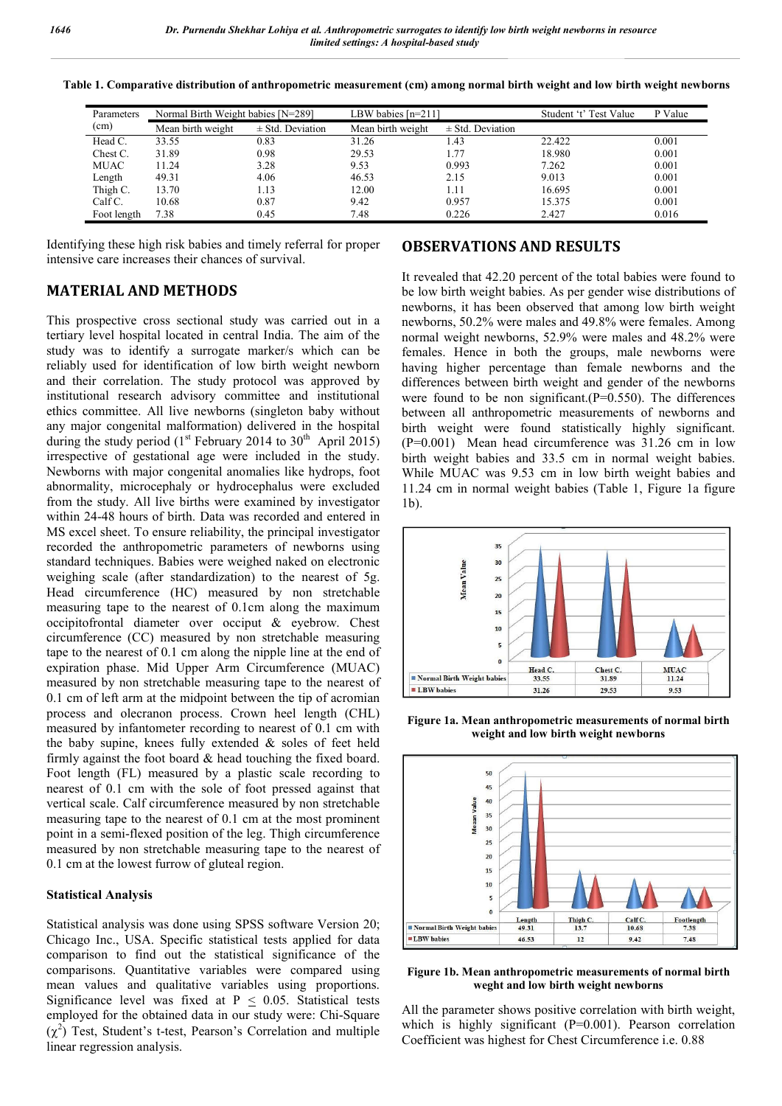| Parameters  | Normal Birth Weight babies [N=289] |                      | LBW babies $[n=211]$ |                      | Student 't' Test Value | P Value |
|-------------|------------------------------------|----------------------|----------------------|----------------------|------------------------|---------|
| (cm)        | Mean birth weight                  | $\pm$ Std. Deviation | Mean birth weight    | $\pm$ Std. Deviation |                        |         |
| Head C.     | 33.55                              | 0.83                 | 31.26                | 1.43                 | 22.422                 | 0.001   |
| Chest C.    | 31.89                              | 0.98                 | 29.53                | 1.77                 | 18.980                 | 0.001   |
| MUAC        | 11.24                              | 3.28                 | 9.53                 | 0.993                | 7.262                  | 0.001   |
| Length      | 49.31                              | 4.06                 | 46.53                | 2.15                 | 9.013                  | 0.001   |
| Thigh C.    | 13.70                              | 1.13                 | 12.00                | 1.11                 | 16.695                 | 0.001   |
| $CalfC$ .   | 10.68                              | 0.87                 | 9.42                 | 0.957                | 15.375                 | 0.001   |
| Foot length | 7.38                               | 0.45                 | 7.48                 | 0.226                | 2.427                  | 0.016   |

**Table 1. Comparative distribution of anthropometric measurement (cm) among normal birth weight and low birth weight newborns**

Identifying these high risk babies and timely referral for proper intensive care increases their chances of survival.

# **MATERIAL AND METHODS**

This prospective cross sectional study was carried out in a tertiary level hospital located in central India. The aim of the study was to identify a surrogate marker/s which can be reliably used for identification of low birth weight newborn and their correlation. The study protocol was approved by institutional research advisory committee and institutional ethics committee. All live newborns (singleton baby without any major congenital malformation) delivered in the hospital during the study period  $(1<sup>st</sup>$  February 2014 to 30<sup>th</sup> April 2015) irrespective of gestational age were included in the study. Newborns with major congenital anomalies like hydrops, foot abnormality, microcephaly or hydrocephalus were excluded from the study. All live births were examined by investigator within 24-48 hours of birth. Data was recorded and entered in MS excel sheet. To ensure reliability, the principal investigator recorded the anthropometric parameters of newborns using standard techniques. Babies were weighed naked on electronic weighing scale (after standardization) to the nearest of 5g. Head circumference (HC) measured by non stretchable measuring tape to the nearest of 0.1cm along the maximum occipitofrontal diameter over occiput & eyebrow. Chest circumference (CC) measured by non stretchable measuring tape to the nearest of 0.1 cm along the nipple line at the end of expiration phase. Mid Upper Arm Circumference (MUAC) measured by non stretchable measuring tape to the nearest of 0.1 cm of left arm at the midpoint between the tip of acromian process and olecranon process. Crown heel length (CHL) measured by infantometer recording to nearest of 0.1 cm with the baby supine, knees fully extended & soles of feet held firmly against the foot board & head touching the fixed board. Foot length (FL) measured by a plastic scale recording to nearest of 0.1 cm with the sole of foot pressed against that vertical scale. Calf circumference measured by non stretchable measuring tape to the nearest of 0.1 cm at the most prominent point in a semi-flexed position of the leg. Thigh circumference measured by non stretchable measuring tape to the nearest of 0.1 cm at the lowest furrow of gluteal region.

#### **Statistical Analysis**

Statistical analysis was done using SPSS software Version 20; Chicago Inc., USA. Specific statistical tests applied for data comparison to find out the statistical significance of the comparisons. Quantitative variables were compared using mean values and qualitative variables using proportions. Significance level was fixed at  $P \leq 0.05$ . Statistical tests employed for the obtained data in our study were: Chi-Square  $(\chi^2)$  Test, Student's t-test, Pearson's Correlation and multiple linear regression analysis.

#### **OBSERVATIONS AND RESULTS**

It revealed that 42.20 percent of the total babies were found to be low birth weight babies. As per gender wise distributions of newborns, it has been observed that among low birth weight newborns, 50.2% were males and 49.8% were females. Among normal weight newborns, 52.9% were males and 48.2% were females. Hence in both the groups, male newborns were having higher percentage than female newborns and the differences between birth weight and gender of the newborns were found to be non significant. $(P=0.550)$ . The differences between all anthropometric measurements of newborns and birth weight were found statistically highly significant. (P=0.001) Mean head circumference was 31.26 cm in low birth weight babies and 33.5 cm in normal weight babies. While MUAC was 9.53 cm in low birth weight babies and 11.24 cm in normal weight babies (Table 1, Figure 1a figure 1b).



**Figure 1a. Mean anthropometric measurements of normal birth weight and low birth weight newborns**



**Figure 1b. Mean anthropometric measurements of normal birth weght and low birth weight newborns**

All the parameter shows positive correlation with birth weight, which is highly significant (P=0.001). Pearson correlation Coefficient was highest for Chest Circumference i.e. 0.88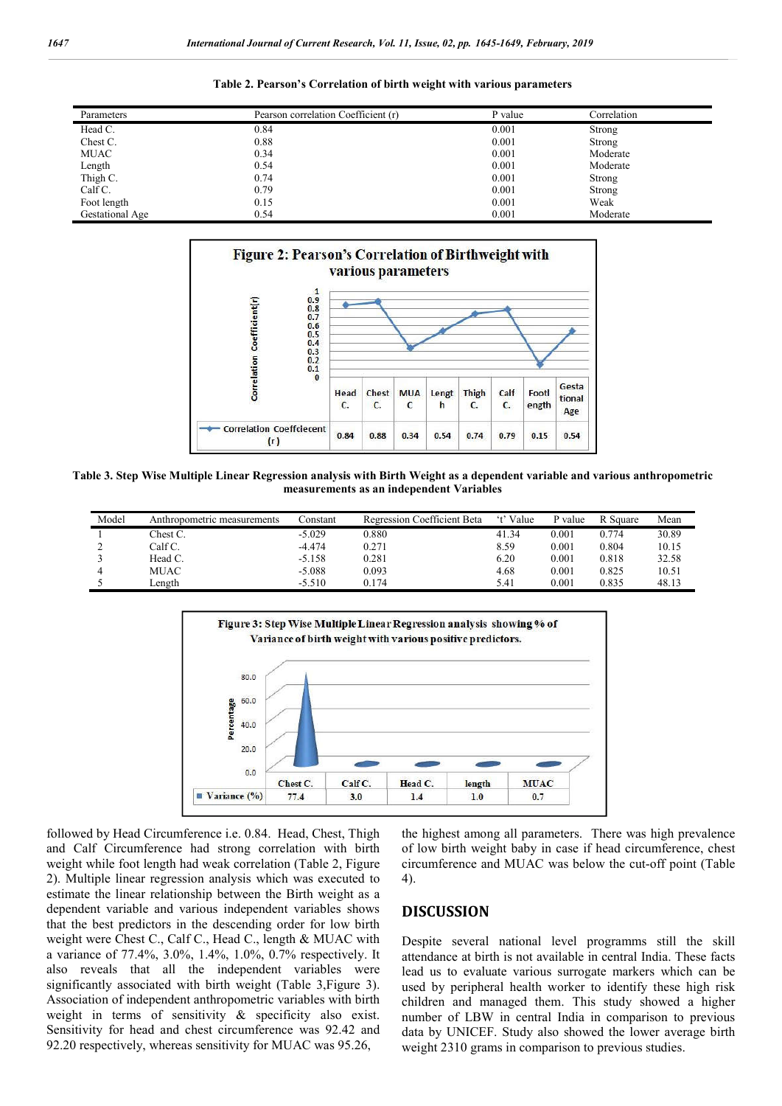| Parameters      | Pearson correlation Coefficient (r) | P value | Correlation |
|-----------------|-------------------------------------|---------|-------------|
| Head C.         | 0.84                                | 0.001   | Strong      |
| Chest C.        | 0.88                                | 0.001   | Strong      |
| MUAC            | 0.34                                | 0.001   | Moderate    |
| Length          | 0.54                                | 0.001   | Moderate    |
| Thigh C.        | 0.74                                | 0.001   | Strong      |
| Calf C.         | 0.79                                | 0.001   | Strong      |
| Foot length     | 0.15                                | 0.001   | Weak        |
| Gestational Age | 0.54                                | 0.001   | Moderate    |





**Table 3. Step Wise Multiple Linear Regression analysis with Birth Weight as a dependent variable and various anthropometric measurements as an independent Variables**

| Model | Anthropometric measurements | Constant | <b>Regression Coefficient Beta</b> | 't' Value | P value | R Square | Mean  |
|-------|-----------------------------|----------|------------------------------------|-----------|---------|----------|-------|
|       | Chest C.                    | $-5.029$ | 0.880                              | 41.34     | 0.001   | 0 774    | 30.89 |
|       | Calf C.                     | $-4.474$ | 0.271                              | 8.59      | 0.001   | 0.804    | 10.15 |
|       | Head C.                     | $-5.158$ | 0.281                              | 6.20      | 0.001   | 0.818    | 32.58 |
| 4     | MUAC                        | $-5.088$ | 0.093                              | 4.68      | 0.001   | 0.825    | 10.51 |
|       | Length                      | $-5.510$ | 0.174                              | 5.41      | 0.001   | 0.835    | 48.13 |



followed by Head Circumference i.e. 0.84. Head, Chest, Thigh and Calf Circumference had strong correlation with birth weight while foot length had weak correlation (Table 2, Figure 2). Multiple linear regression analysis which was executed to estimate the linear relationship between the Birth weight as a dependent variable and various independent variables shows that the best predictors in the descending order for low birth weight were Chest C., Calf C., Head C., length & MUAC with a variance of 77.4%, 3.0%, 1.4%, 1.0%, 0.7% respectively. It also reveals that all the independent variables were significantly associated with birth weight (Table 3,Figure 3). Association of independent anthropometric variables with birth weight in terms of sensitivity & specificity also exist. Sensitivity for head and chest circumference was 92.42 and 92.20 respectively, whereas sensitivity for MUAC was 95.26,

the highest among all parameters. There was high prevalence of low birth weight baby in case if head circumference, chest circumference and MUAC was below the cut-off point (Table 4).

### **DISCUSSION**

Despite several national level programms still the skill attendance at birth is not available in central India. These facts lead us to evaluate various surrogate markers which can be used by peripheral health worker to identify these high risk children and managed them. This study showed a higher number of LBW in central India in comparison to previous data by UNICEF. Study also showed the lower average birth weight 2310 grams in comparison to previous studies.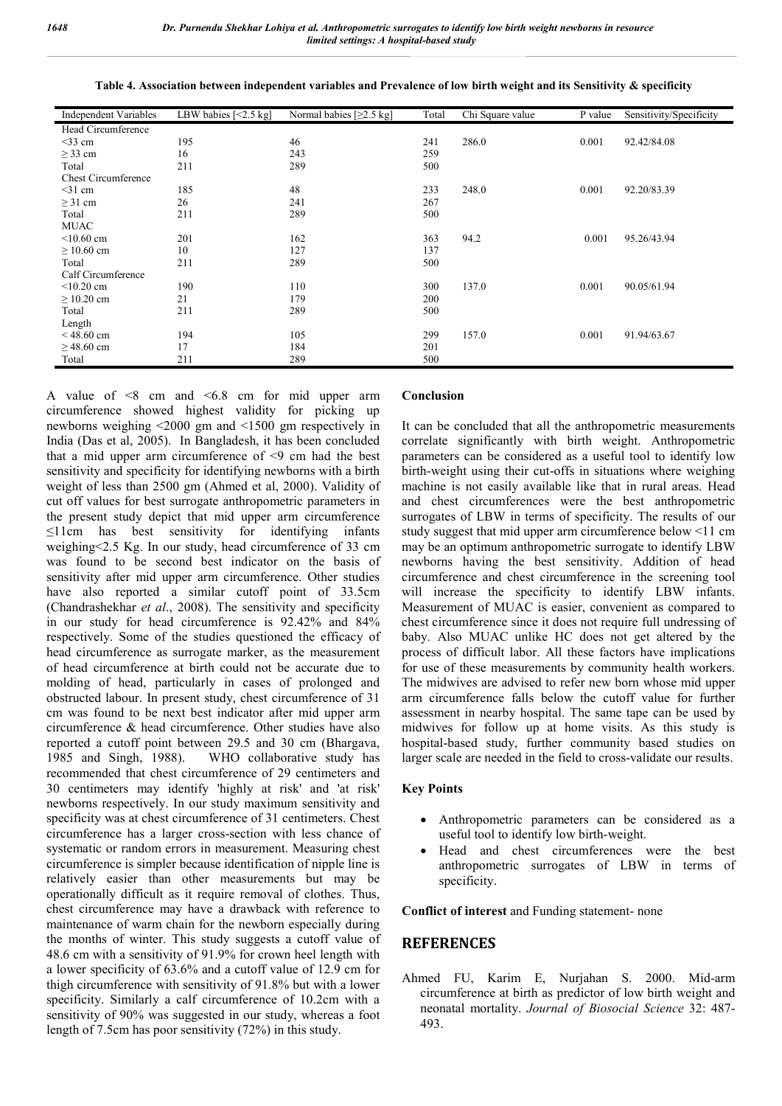| <b>Independent Variables</b> | LBW babies $\left[ \leq 2.5 \text{ kg} \right]$ | Normal babies $[≥2.5 kg]$ | Total | Chi Square value | P value | Sensitivity/Specificity |
|------------------------------|-------------------------------------------------|---------------------------|-------|------------------|---------|-------------------------|
| Head Circumference           |                                                 |                           |       |                  |         |                         |
| $<$ 33 cm                    | 195                                             | 46                        | 241   | 286.0            | 0.001   | 92.42/84.08             |
| $\geq$ 33 cm                 | 16                                              | 243                       | 259   |                  |         |                         |
| Total                        | 211                                             | 289                       | 500   |                  |         |                         |
| <b>Chest Circumference</b>   |                                                 |                           |       |                  |         |                         |
| $<$ 31 cm                    | 185                                             | 48                        | 233   | 248.0            | 0.001   | 92.20/83.39             |
| $\geq$ 31 cm                 | 26                                              | 241                       | 267   |                  |         |                         |
| Total                        | 211                                             | 289                       | 500   |                  |         |                         |
| <b>MUAC</b>                  |                                                 |                           |       |                  |         |                         |
| $<$ 10.60 cm                 | 201                                             | 162                       | 363   | 94.2             | 0.001   | 95.26/43.94             |
| $\geq 10.60$ cm              | 10                                              | 127                       | 137   |                  |         |                         |
| Total                        | 211                                             | 289                       | 500   |                  |         |                         |
| Calf Circumference           |                                                 |                           |       |                  |         |                         |
| $<$ 10.20 cm                 | 190                                             | 110                       | 300   | 137.0            | 0.001   | 90.05/61.94             |
| $\geq$ 10.20 cm              | 21                                              | 179                       | 200   |                  |         |                         |
| Total                        | 211                                             | 289                       | 500   |                  |         |                         |
| Length                       |                                                 |                           |       |                  |         |                         |
| $< 48.60$ cm                 | 194                                             | 105                       | 299   | 157.0            | 0.001   | 91.94/63.67             |
| $\geq$ 48.60 cm              | 17                                              | 184                       | 201   |                  |         |                         |
| Total                        | 211                                             | 289                       | 500   |                  |         |                         |

**Table 4. Association between independent variables and Prevalence of low birth weight and its Sensitivity & specificity**

A value of  $\leq 8$  cm and  $\leq 6.8$  cm for mid upper arm circumference showed highest validity for picking up newborns weighing <2000 gm and <1500 gm respectively in India (Das et al, 2005). In Bangladesh, it has been concluded that a mid upper arm circumference of  $\leq$ 9 cm had the best sensitivity and specificity for identifying newborns with a birth weight of less than 2500 gm (Ahmed et al, 2000). Validity of cut off values for best surrogate anthropometric parameters in the present study depict that mid upper arm circumference ≤11cm has best sensitivity for identifying infants weighing<2.5 Kg. In our study, head circumference of 33 cm was found to be second best indicator on the basis of sensitivity after mid upper arm circumference. Other studies have also reported a similar cutoff point of 33.5cm (Chandrashekhar *et al*., 2008). The sensitivity and specificity in our study for head circumference is 92.42% and 84% respectively. Some of the studies questioned the efficacy of head circumference as surrogate marker, as the measurement of head circumference at birth could not be accurate due to molding of head, particularly in cases of prolonged and obstructed labour. In present study, chest circumference of 31 cm was found to be next best indicator after mid upper arm circumference & head circumference. Other studies have also reported a cutoff point between 29.5 and 30 cm (Bhargava, 1985 and Singh, 1988). WHO collaborative study has recommended that chest circumference of 29 centimeters and 30 centimeters may identify 'highly at risk' and 'at risk' newborns respectively. In our study maximum sensitivity and specificity was at chest circumference of 31 centimeters. Chest circumference has a larger cross-section with less chance of systematic or random errors in measurement. Measuring chest circumference is simpler because identification of nipple line is relatively easier than other measurements but may be operationally difficult as it require removal of clothes. Thus, chest circumference may have a drawback with reference to maintenance of warm chain for the newborn especially during the months of winter. This study suggests a cutoff value of 48.6 cm with a sensitivity of 91.9% for crown heel length with a lower specificity of 63.6% and a cutoff value of 12.9 cm for thigh circumference with sensitivity of 91.8% but with a lower specificity. Similarly a calf circumference of 10.2cm with a sensitivity of 90% was suggested in our study, whereas a foot length of 7.5cm has poor sensitivity (72%) in this study.

#### **Conclusion**

It can be concluded that all the anthropometric measurements correlate significantly with birth weight. Anthropometric parameters can be considered as a useful tool to identify low birth-weight using their cut-offs in situations where weighing machine is not easily available like that in rural areas. Head and chest circumferences were the best anthropometric surrogates of LBW in terms of specificity. The results of our study suggest that mid upper arm circumference below <11 cm may be an optimum anthropometric surrogate to identify LBW newborns having the best sensitivity. Addition of head circumference and chest circumference in the screening tool will increase the specificity to identify LBW infants. Measurement of MUAC is easier, convenient as compared to chest circumference since it does not require full undressing of baby. Also MUAC unlike HC does not get altered by the process of difficult labor. All these factors have implications for use of these measurements by community health workers. The midwives are advised to refer new born whose mid upper arm circumference falls below the cutoff value for further assessment in nearby hospital. The same tape can be used by midwives for follow up at home visits. As this study is hospital-based study, further community based studies on larger scale are needed in the field to cross-validate our results.

#### **Key Points**

- Anthropometric parameters can be considered as a useful tool to identify low birth-weight.
- Head and chest circumferences were the best anthropometric surrogates of LBW in terms of specificity.

**Conflict of interest** and Funding statement- none

#### **REFERENCES**

Ahmed FU, Karim E, Nurjahan S. 2000. Mid-arm circumference at birth as predictor of low birth weight and neonatal mortality. *Journal of Biosocial Science* 32: 487- 493.